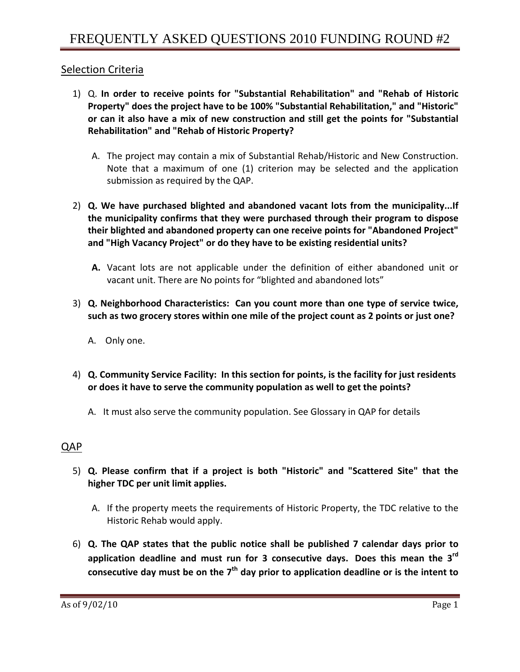## Selection Criteria

- 1) Q. **In order to receive points for "Substantial Rehabilitation" and "Rehab of Historic Property" does the project have to be 100% "Substantial Rehabilitation," and "Historic" or can it also have a mix of new construction and still get the points for "Substantial Rehabilitation" and "Rehab of Historic Property?**
	- A. The project may contain a mix of Substantial Rehab/Historic and New Construction. Note that a maximum of one (1) criterion may be selected and the application submission as required by the QAP.
- 2) **Q. We have purchased blighted and abandoned vacant lots from the municipality...If the municipality confirms that they were purchased through their program to dispose their blighted and abandoned property can one receive points for "Abandoned Project" and "High Vacancy Project" or do they have to be existing residential units?**
	- **A.** Vacant lots are not applicable under the definition of either abandoned unit or vacant unit. There are No points for "blighted and abandoned lots"
- 3) **Q. Neighborhood Characteristics: Can you count more than one type of service twice, such as two grocery stores within one mile of the project count as 2 points or just one?** 
	- A. Only one.
- 4) **Q. Community Service Facility: In this section for points, is the facility for just residents or does it have to serve the community population as well to get the points?**
	- A. It must also serve the community population. See Glossary in QAP for details

# QAP

- 5) **Q. Please confirm that if a project is both "Historic" and "Scattered Site" that the higher TDC per unit limit applies.**
	- A. If the property meets the requirements of Historic Property, the TDC relative to the Historic Rehab would apply.
- 6) **Q. The QAP states that the public notice shall be published 7 calendar days prior to application deadline and must run for 3 consecutive days. Does this mean the 3rd consecutive day must be on the 7th day prior to application deadline or is the intent to**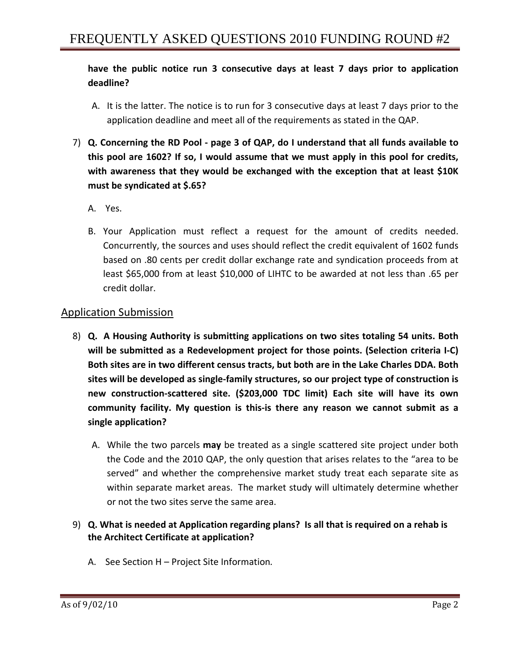### **have the public notice run 3 consecutive days at least 7 days prior to application deadline?**

- A. It is the latter. The notice is to run for 3 consecutive days at least 7 days prior to the application deadline and meet all of the requirements as stated in the QAP.
- 7) **Q. Concerning the RD Pool ‐ page 3 of QAP, do I understand that all funds available to this pool are 1602? If so, I would assume that we must apply in this pool for credits, with awareness that they would be exchanged with the exception that at least \$10K must be syndicated at \$.65?**
	- A. Yes.
	- B. Your Application must reflect a request for the amount of credits needed. Concurrently, the sources and uses should reflect the credit equivalent of 1602 funds based on .80 cents per credit dollar exchange rate and syndication proceeds from at least \$65,000 from at least \$10,000 of LIHTC to be awarded at not less than .65 per credit dollar.

### Application Submission

- 8) **Q. A Housing Authority is submitting applications on two sites totaling 54 units. Both will be submitted as a Redevelopment project for those points. (Selection criteria I‐C) Both sites are in two different census tracts, but both are in the Lake Charles DDA. Both sites will be developed as single‐family structures, so our project type of construction is new construction‐scattered site. (\$203,000 TDC limit) Each site will have its own community facility. My question is this‐is there any reason we cannot submit as a single application?** 
	- A. While the two parcels **may** be treated as a single scattered site project under both the Code and the 2010 QAP, the only question that arises relates to the "area to be served" and whether the comprehensive market study treat each separate site as within separate market areas. The market study will ultimately determine whether or not the two sites serve the same area.
- 9) **Q. What is needed at Application regarding plans? Is all that is required on a rehab is the Architect Certificate at application?**
	- A. See Section H Project Site Information*.*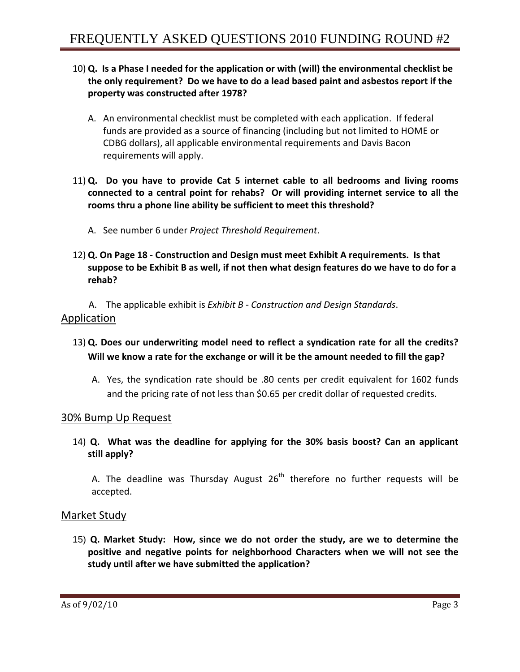- 10) **Q. Is a Phase I needed for the application or with (will) the environmental checklist be the only requirement? Do we have to do a lead based paint and asbestos report if the property was constructed after 1978?** 
	- A. An environmental checklist must be completed with each application. If federal funds are provided as a source of financing (including but not limited to HOME or CDBG dollars), all applicable environmental requirements and Davis Bacon requirements will apply.
- 11) **Q. Do you have to provide Cat 5 internet cable to all bedrooms and living rooms connected to a central point for rehabs? Or will providing internet service to all the rooms thru a phone line ability be sufficient to meet this threshold?**
	- A. See number 6 under *Project Threshold Requirement*.
- 12) **Q. On Page 18 ‐ Construction and Design must meet Exhibit A requirements. Is that** suppose to be Exhibit B as well, if not then what design features do we have to do for a **rehab?**

A. The applicable exhibit is *Exhibit B ‐ Construction and Design Standards*. Application

- 13) **Q. Does our underwriting model need to reflect a syndication rate for all the credits? Will we know a rate for the exchange or will it be the amount needed to fill the gap?**
	- A. Yes, the syndication rate should be .80 cents per credit equivalent for 1602 funds and the pricing rate of not less than \$0.65 per credit dollar of requested credits.

#### 30% Bump Up Request

14) **Q. What was the deadline for applying for the 30% basis boost? Can an applicant still apply?**

A. The deadline was Thursday August  $26<sup>th</sup>$  therefore no further requests will be accepted.

#### Market Study

15) **Q. Market Study: How, since we do not order the study, are we to determine the positive and negative points for neighborhood Characters when we will not see the study until after we have submitted the application?**